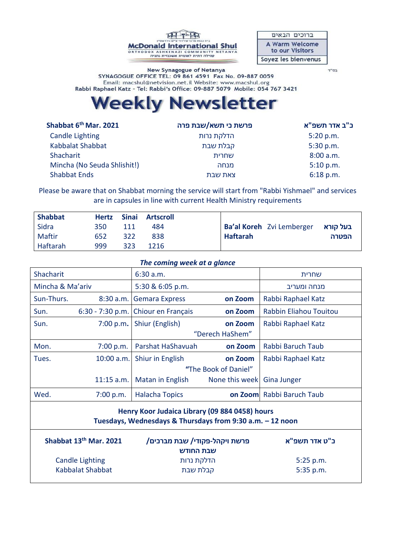

ברוכים הבאים A Warm Welcome to our Visitors Soyez les bienvenus

בס"ד

New Synagogue of Netanya SYNAGOGUE OFFICE TEL: 09 861 4591 Fax No. 09-887 0059 Email: macshul@netvision.net.il Website: www.macshul.org Rabbi Raphael Katz - Tel: Rabbi's Office: 09-887 5079 Mobile: 054 767 3421

# **Weekly Newsletter**

| Shabbat 6 <sup>th</sup> Mar. 2021 | פרשת כי תשא/שבת פרה | <b>ב"ב אדר תשפ"א</b> |  |
|-----------------------------------|---------------------|----------------------|--|
| <b>Candle Lighting</b>            | הדלקת נרות          | 5:20 p.m.            |  |
| Kabbalat Shabbat                  | קבלת שבת            | 5:30 p.m.            |  |
| Shacharit                         | שחרית               | 8:00 a.m.            |  |
| Mincha (No Seuda Shlishit!)       | מנחה                | 5:10 p.m.            |  |
| <b>Shabbat Ends</b>               | צאת שבת             | $6:18$ p.m.          |  |
|                                   |                     |                      |  |

Please be aware that on Shabbat morning the service will start from "Rabbi Yishmael" and services are in capsules in line with current Health Ministry requirements

| <b>Shabbat</b> |     |     | Hertz Sinai Artscroll |                                                  |
|----------------|-----|-----|-----------------------|--------------------------------------------------|
| Sidra          | 350 | 111 | 484                   | <b>Ba'al Koreh</b> Zvi Lemberger <b>בעל קורא</b> |
| Maftir         | 652 | 322 | 838                   | <b>Haftarah</b><br>הפטרה                         |
| Haftarah       | 999 | 323 | 1216                  |                                                  |

### *The coming week at a glance*

| Shacharit        |              | 6:30 a.m.                                      |                | שחרית                     |
|------------------|--------------|------------------------------------------------|----------------|---------------------------|
| Mincha & Ma'ariv |              | 5:30 & 6:05 p.m.                               |                | מנחה ומעריב               |
| Sun-Thurs.       |              | 8:30 a.m. Gemara Express                       | on Zoom        | Rabbi Raphael Katz        |
| Sun.             |              | 6:30 - 7:30 p.m. Chiour en Français<br>on Zoom |                | Rabbin Eliahou Touitou    |
| Sun.             | 7:00 p.m.    | Shiur (English)<br>on Zoom                     |                | Rabbi Raphael Katz        |
|                  |              | "Derech HaShem"                                |                |                           |
| Mon.             | 7:00 p.m.    | Parshat HaShavuah                              | on Zoom        | Rabbi Baruch Taub         |
| Tues.            | 10:00 a.m.   | Shiur in English<br>on Zoom                    |                | Rabbi Raphael Katz        |
|                  |              | "The Book of Daniel"                           |                |                           |
|                  | $11:15$ a.m. | Matan in English                               | None this week | <b>Gina Junger</b>        |
| Wed.             | 7:00 p.m.    | <b>Halacha Topics</b>                          |                | on Zoom Rabbi Baruch Taub |

## **Henry Koor Judaica Library (09 884 0458) hours Tuesdays, Wednesdays & Thursdays from 9:30 a.m. – 12 noon**

| Shabbat 13th Mar. 2021 | פרשת ויקהל-פקודי/ שבת מברכים/<br>שבת החודש | <b>ב"ט אדר תשפ"א</b> |  |  |
|------------------------|--------------------------------------------|----------------------|--|--|
| Candle Lighting        | הדלקת נרות                                 | 5:25 p.m.            |  |  |
| Kabbalat Shabbat       | קבלת שבת                                   | $5:35$ p.m.          |  |  |
|                        |                                            |                      |  |  |